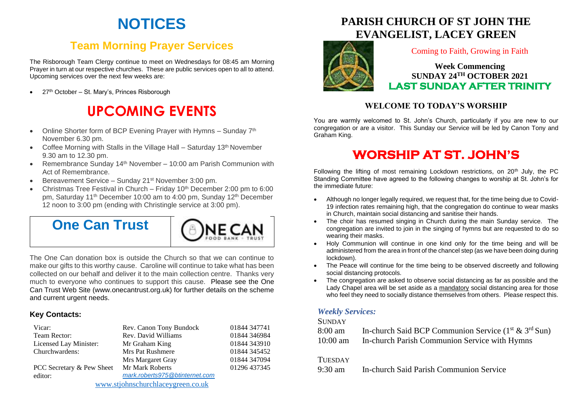# **NOTICES**

## **Team Morning Prayer Services**

The Risborough Team Clergy continue to meet on Wednesdays for 08:45 am Morning Prayer in turn at our respective churches. These are public services open to all to attend. Upcoming services over the next few weeks are:

27<sup>th</sup> October – St. Mary's, Princes Risborough

# **UPCOMING EVENTS**

- Online Shorter form of BCP Evening Prayer with Hymns  $-$  Sunday  $7<sup>th</sup>$ November 6.30 pm.
- Coffee Morning with Stalls in the Village Hall Saturday 13<sup>th</sup> November 9.30 am to 12.30 pm.
- Remembrance Sunday 14<sup>th</sup> November 10:00 am Parish Communion with Act of Remembrance.
- Bereavement Service Sunday 21st November 3:00 pm.
- Christmas Tree Festival in Church Friday 10th December 2:00 pm to 6:00 pm, Saturday 11<sup>th</sup> December 10:00 am to 4:00 pm, Sunday 12<sup>th</sup> December 12 noon to 3:00 pm (ending with Christingle service at 3:00 pm).

# **One Can Trust**



The One Can donation box is outside the Church so that we can continue to make our gifts to this worthy cause. Caroline will continue to take what has been collected on our behalf and deliver it to the main collection centre. Thanks very much to everyone who continues to support this cause. Please see the One Can Trust Web Site (www.onecantrust.org.uk) for further details on the scheme and current urgent needs.

#### **Key Contacts:**

| Vicar:                            | Rev. Canon Tony Bundock        | 01844 347741 |
|-----------------------------------|--------------------------------|--------------|
| Team Rector:                      | Rev. David Williams            | 01844 346984 |
| Licensed Lay Minister:            | Mr Graham King                 | 01844 343910 |
| Churchwardens:                    | Mrs Pat Rushmere               | 01844 345452 |
|                                   | Mrs Margaret Gray              | 01844 347094 |
| PCC Secretary & Pew Sheet         | Mr Mark Roberts                | 01296 437345 |
| editor:                           | mark.roberts975@btinternet.com |              |
| www.stjohnschurchlaceygreen.co.uk |                                |              |

## **PARISH CHURCH OF ST JOHN THE EVANGELIST, LACEY GREEN**



#### Coming to Faith, Growing in Faith

### **Week Commencing SUNDAY 24TH OCTOBER 2021 LAST SUNDAY AFTER TRINITY**

### **WELCOME TO TODAY'S WORSHIP**

You are warmly welcomed to St. John's Church, particularly if you are new to our congregation or are a visitor. This Sunday our Service will be led by Canon Tony and Graham King.

## **WORSHIP AT ST. JOHN'S**

Following the lifting of most remaining Lockdown restrictions, on 20<sup>th</sup> July, the PC Standing Committee have agreed to the following changes to worship at St. John's for the immediate future:

- Although no longer legally required, we request that, for the time being due to Covid-19 infection rates remaining high, that the congregation do continue to wear masks in Church, maintain social distancing and sanitise their hands.
- The choir has resumed singing in Church during the main Sunday service. The congregation are invited to join in the singing of hymns but are requested to do so wearing their masks.
- Holy Communion will continue in one kind only for the time being and will be administered from the area in front of the chancel step (as we have been doing during lockdown).
- The Peace will continue for the time being to be observed discreetly and following social distancing protocols.
- The congregation are asked to observe social distancing as far as possible and the Lady Chapel area will be set aside as a mandatory social distancing area for those who feel they need to socially distance themselves from others. Please respect this.

#### *Weekly Services:*

#### **SUNDAY**

| 8:00 am    | In-church Said BCP Communion Service $(1st \& 3rd Sun)$ |
|------------|---------------------------------------------------------|
| $10:00$ am | In-church Parish Communion Service with Hymns           |

#### **TUESDAY**

9:30 am In-church Said Parish Communion Service